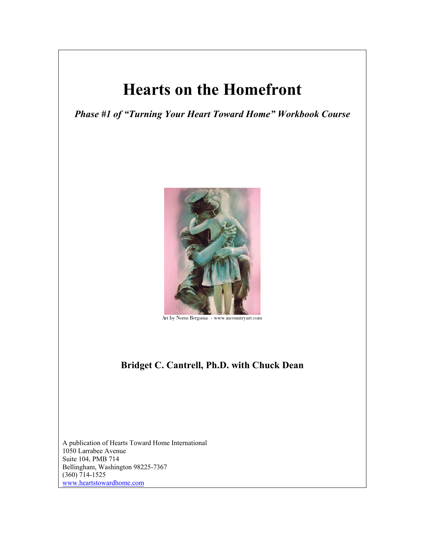# **Hearts on the Homefront**

*Phase #1 of "Turning Your Heart Toward Home" Workbook Course* 



Art by Norm Bergsma - www.incountryart.com

## **Bridget C. Cantrell, Ph.D. with Chuck Dean**

A publication of Hearts Toward Home International 1050 Larrabee Avenue Suite 104, PMB 714 Bellingham, Washington 98225-7367 (360) 714-1525 www.heartstowardhome.com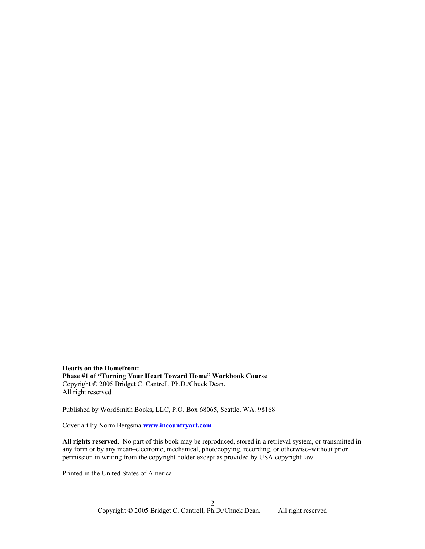**Hearts on the Homefront: Phase #1 of "Turning Your Heart Toward Home" Workbook Course**  Copyright **©** 2005 Bridget C. Cantrell, Ph.D./Chuck Dean. All right reserved

Published by WordSmith Books, LLC, P.O. Box 68065, Seattle, WA. 98168

Cover art by Norm Bergsma **www.incountryart.com**

**All rights reserved**. No part of this book may be reproduced, stored in a retrieval system, or transmitted in any form or by any mean–electronic, mechanical, photocopying, recording, or otherwise–without prior permission in writing from the copyright holder except as provided by USA copyright law.

Printed in the United States of America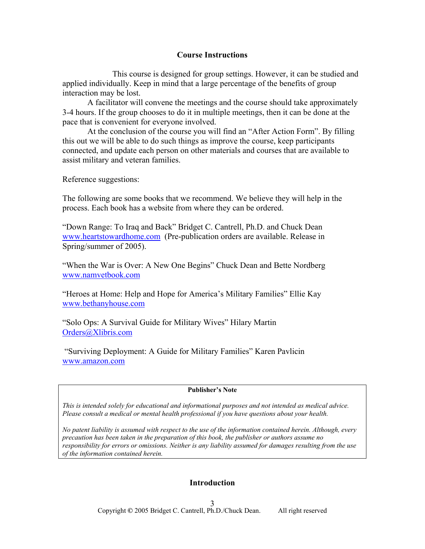### **Course Instructions**

 This course is designed for group settings. However, it can be studied and applied individually. Keep in mind that a large percentage of the benefits of group interaction may be lost.

 A facilitator will convene the meetings and the course should take approximately 3-4 hours. If the group chooses to do it in multiple meetings, then it can be done at the pace that is convenient for everyone involved.

 At the conclusion of the course you will find an "After Action Form". By filling this out we will be able to do such things as improve the course, keep participants connected, and update each person on other materials and courses that are available to assist military and veteran families.

Reference suggestions:

The following are some books that we recommend. We believe they will help in the process. Each book has a website from where they can be ordered.

"Down Range: To Iraq and Back" Bridget C. Cantrell, Ph.D. and Chuck Dean www.heartstowardhome.com (Pre-publication orders are available. Release in Spring/summer of 2005).

"When the War is Over: A New One Begins" Chuck Dean and Bette Nordberg www.namvetbook.com

"Heroes at Home: Help and Hope for America's Military Families" Ellie Kay www.bethanyhouse.com

"Solo Ops: A Survival Guide for Military Wives" Hilary Martin Orders@Xlibris.com

 "Surviving Deployment: A Guide for Military Families" Karen Pavlicin www.amazon.com

#### **Publisher's Note**

*This is intended solely for educational and informational purposes and not intended as medical advice. Please consult a medical or mental health professional if you have questions about your health.* 

*No patent liability is assumed with respect to the use of the information contained herein. Although, every precaution has been taken in the preparation of this book, the publisher or authors assume no responsibility for errors or omissions. Neither is any liability assumed for damages resulting from the use of the information contained herein.*

## **Introduction**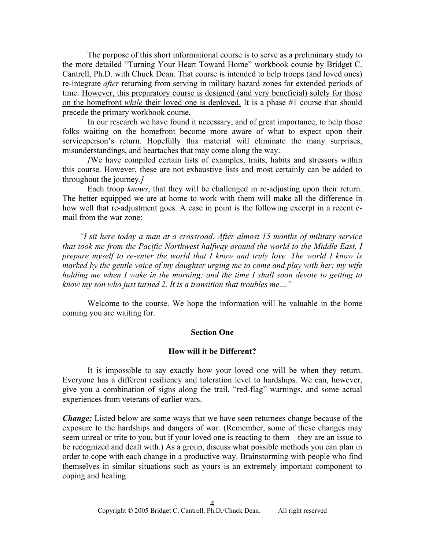The purpose of this short informational course is to serve as a preliminary study to the more detailed "Turning Your Heart Toward Home" workbook course by Bridget C. Cantrell, Ph.D. with Chuck Dean. That course is intended to help troops (and loved ones) re-integrate *after* returning from serving in military hazard zones for extended periods of time. However, this preparatory course is designed (and very beneficial) solely for those on the homefront *while* their loved one is deployed. It is a phase #1 course that should precede the primary workbook course.

In our research we have found it necessary, and of great importance, to help those folks waiting on the homefront become more aware of what to expect upon their serviceperson's return. Hopefully this material will eliminate the many surprises, misunderstandings, and heartaches that may come along the way.

*[*We have compiled certain lists of examples, traits, habits and stressors within this course. However, these are not exhaustive lists and most certainly can be added to throughout the journey.*]* 

Each troop *knows*, that they will be challenged in re-adjusting upon their return. The better equipped we are at home to work with them will make all the difference in how well that re-adjustment goes. A case in point is the following excerpt in a recent email from the war zone:

 *"I sit here today a man at a crossroad. After almost 15 months of military service that took me from the Pacific Northwest halfway around the world to the Middle East, I prepare myself to re-enter the world that I know and truly love. The world I know is marked by the gentle voice of my daughter urging me to come and play with her; my wife holding me when I wake in the morning; and the time I shall soon devote to getting to know my son who just turned 2. It is a transition that troubles me…"* 

 Welcome to the course. We hope the information will be valuable in the home coming you are waiting for.

#### **Section One**

#### **How will it be Different?**

 It is impossible to say exactly how your loved one will be when they return. Everyone has a different resiliency and toleration level to hardships. We can, however, give you a combination of signs along the trail, "red-flag" warnings, and some actual experiences from veterans of earlier wars.

*Change:* Listed below are some ways that we have seen returnees change because of the exposure to the hardships and dangers of war. (Remember, some of these changes may seem unreal or trite to you, but if your loved one is reacting to them—they are an issue to be recognized and dealt with.) As a group, discuss what possible methods you can plan in order to cope with each change in a productive way. Brainstorming with people who find themselves in similar situations such as yours is an extremely important component to coping and healing.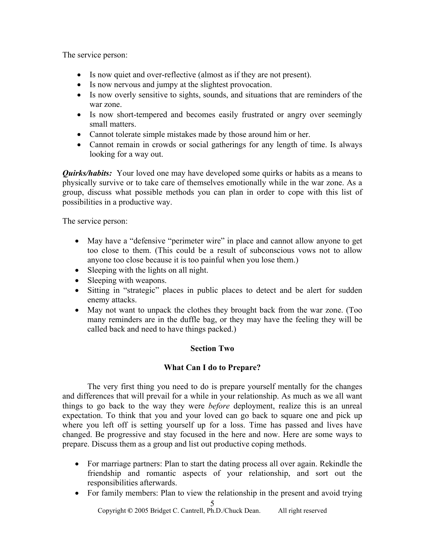The service person:

- Is now quiet and over-reflective (almost as if they are not present).
- Is now nervous and jumpy at the slightest provocation.
- Is now overly sensitive to sights, sounds, and situations that are reminders of the war zone.
- Is now short-tempered and becomes easily frustrated or angry over seemingly small matters.
- Cannot tolerate simple mistakes made by those around him or her.
- Cannot remain in crowds or social gatherings for any length of time. Is always looking for a way out.

*Quirks/habits:* Your loved one may have developed some quirks or habits as a means to physically survive or to take care of themselves emotionally while in the war zone. As a group, discuss what possible methods you can plan in order to cope with this list of possibilities in a productive way.

The service person:

- May have a "defensive "perimeter wire" in place and cannot allow anyone to get too close to them. (This could be a result of subconscious vows not to allow anyone too close because it is too painful when you lose them.)
- Sleeping with the lights on all night.
- Sleeping with weapons.
- Sitting in "strategic" places in public places to detect and be alert for sudden enemy attacks.
- May not want to unpack the clothes they brought back from the war zone. (Too many reminders are in the duffle bag, or they may have the feeling they will be called back and need to have things packed.)

## **Section Two**

## **What Can I do to Prepare?**

 The very first thing you need to do is prepare yourself mentally for the changes and differences that will prevail for a while in your relationship. As much as we all want things to go back to the way they were *before* deployment, realize this is an unreal expectation. To think that you and your loved can go back to square one and pick up where you left off is setting yourself up for a loss. Time has passed and lives have changed. Be progressive and stay focused in the here and now. Here are some ways to prepare. Discuss them as a group and list out productive coping methods.

- For marriage partners: Plan to start the dating process all over again. Rekindle the friendship and romantic aspects of your relationship, and sort out the responsibilities afterwards.
- 5 • For family members: Plan to view the relationship in the present and avoid trying

Copyright **©** 2005 Bridget C. Cantrell, Ph.D./Chuck Dean. All right reserved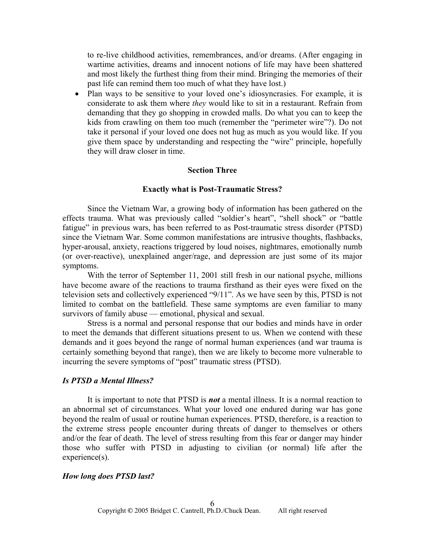to re-live childhood activities, remembrances, and/or dreams. (After engaging in wartime activities, dreams and innocent notions of life may have been shattered and most likely the furthest thing from their mind. Bringing the memories of their past life can remind them too much of what they have lost.)

• Plan ways to be sensitive to your loved one's idiosyncrasies. For example, it is considerate to ask them where *they* would like to sit in a restaurant. Refrain from demanding that they go shopping in crowded malls. Do what you can to keep the kids from crawling on them too much (remember the "perimeter wire"?). Do not take it personal if your loved one does not hug as much as you would like. If you give them space by understanding and respecting the "wire" principle, hopefully they will draw closer in time.

#### **Section Three**

#### **Exactly what is Post-Traumatic Stress?**

Since the Vietnam War, a growing body of information has been gathered on the effects trauma. What was previously called "soldier's heart", "shell shock" or "battle fatigue" in previous wars, has been referred to as Post-traumatic stress disorder (PTSD) since the Vietnam War. Some common manifestations are intrusive thoughts, flashbacks, hyper-arousal, anxiety, reactions triggered by loud noises, nightmares, emotionally numb (or over-reactive), unexplained anger/rage, and depression are just some of its major symptoms.

With the terror of September 11, 2001 still fresh in our national psyche, millions have become aware of the reactions to trauma firsthand as their eyes were fixed on the television sets and collectively experienced "9/11". As we have seen by this, PTSD is not limited to combat on the battlefield. These same symptoms are even familiar to many survivors of family abuse — emotional, physical and sexual.

Stress is a normal and personal response that our bodies and minds have in order to meet the demands that different situations present to us. When we contend with these demands and it goes beyond the range of normal human experiences (and war trauma is certainly something beyond that range), then we are likely to become more vulnerable to incurring the severe symptoms of "post" traumatic stress (PTSD).

#### *Is PTSD a Mental Illness?*

It is important to note that PTSD is *not* a mental illness. It is a normal reaction to an abnormal set of circumstances. What your loved one endured during war has gone beyond the realm of usual or routine human experiences. PTSD, therefore, is a reaction to the extreme stress people encounter during threats of danger to themselves or others and/or the fear of death. The level of stress resulting from this fear or danger may hinder those who suffer with PTSD in adjusting to civilian (or normal) life after the experience(s).

#### *How long does PTSD last?*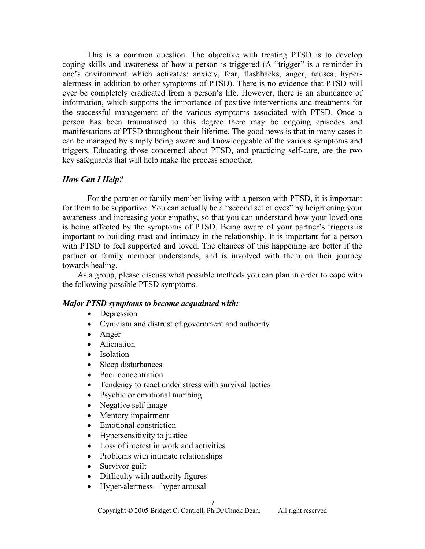This is a common question. The objective with treating PTSD is to develop coping skills and awareness of how a person is triggered (A "trigger" is a reminder in one's environment which activates: anxiety, fear, flashbacks, anger, nausea, hyperalertness in addition to other symptoms of PTSD). There is no evidence that PTSD will ever be completely eradicated from a person's life. However, there is an abundance of information, which supports the importance of positive interventions and treatments for the successful management of the various symptoms associated with PTSD. Once a person has been traumatized to this degree there may be ongoing episodes and manifestations of PTSD throughout their lifetime. The good news is that in many cases it can be managed by simply being aware and knowledgeable of the various symptoms and triggers. Educating those concerned about PTSD, and practicing self-care, are the two key safeguards that will help make the process smoother.

#### *How Can I Help?*

For the partner or family member living with a person with PTSD, it is important for them to be supportive. You can actually be a "second set of eyes" by heightening your awareness and increasing your empathy, so that you can understand how your loved one is being affected by the symptoms of PTSD. Being aware of your partner's triggers is important to building trust and intimacy in the relationship. It is important for a person with PTSD to feel supported and loved. The chances of this happening are better if the partner or family member understands, and is involved with them on their journey towards healing.

As a group, please discuss what possible methods you can plan in order to cope with the following possible PTSD symptoms.

#### *Major PTSD symptoms to become acquainted with:*

- Depression
- Cynicism and distrust of government and authority
- Anger
- Alienation
- Isolation
- Sleep disturbances
- Poor concentration
- Tendency to react under stress with survival tactics
- Psychic or emotional numbing
- Negative self-image
- Memory impairment
- Emotional constriction
- Hypersensitivity to justice
- Loss of interest in work and activities
- Problems with intimate relationships
- Survivor guilt
- Difficulty with authority figures
- Hyper-alertness hyper arousal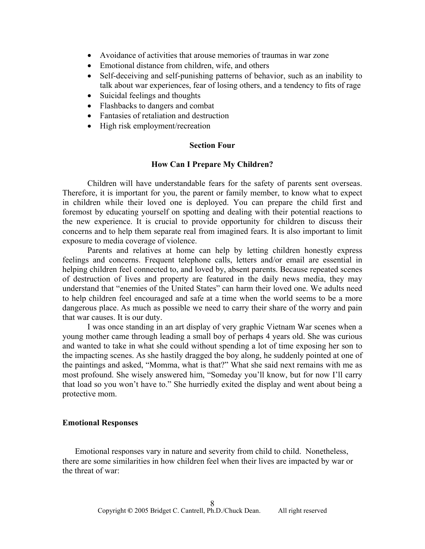- Avoidance of activities that arouse memories of traumas in war zone
- Emotional distance from children, wife, and others
- Self-deceiving and self-punishing patterns of behavior, such as an inability to talk about war experiences, fear of losing others, and a tendency to fits of rage
- Suicidal feelings and thoughts
- Flashbacks to dangers and combat
- Fantasies of retaliation and destruction
- High risk employment/recreation

#### **Section Four**

#### **How Can I Prepare My Children?**

Children will have understandable fears for the safety of parents sent overseas. Therefore, it is important for you, the parent or family member, to know what to expect in children while their loved one is deployed. You can prepare the child first and foremost by educating yourself on spotting and dealing with their potential reactions to the new experience. It is crucial to provide opportunity for children to discuss their concerns and to help them separate real from imagined fears. It is also important to limit exposure to media coverage of violence.

Parents and relatives at home can help by letting children honestly express feelings and concerns. Frequent telephone calls, letters and/or email are essential in helping children feel connected to, and loved by, absent parents. Because repeated scenes of destruction of lives and property are featured in the daily news media, they may understand that "enemies of the United States" can harm their loved one. We adults need to help children feel encouraged and safe at a time when the world seems to be a more dangerous place. As much as possible we need to carry their share of the worry and pain that war causes. It is our duty.

I was once standing in an art display of very graphic Vietnam War scenes when a young mother came through leading a small boy of perhaps 4 years old. She was curious and wanted to take in what she could without spending a lot of time exposing her son to the impacting scenes. As she hastily dragged the boy along, he suddenly pointed at one of the paintings and asked, "Momma, what is that?" What she said next remains with me as most profound. She wisely answered him, "Someday you'll know, but for now I'll carry that load so you won't have to." She hurriedly exited the display and went about being a protective mom.

#### **Emotional Responses**

Emotional responses vary in nature and severity from child to child. Nonetheless, there are some similarities in how children feel when their lives are impacted by war or the threat of war: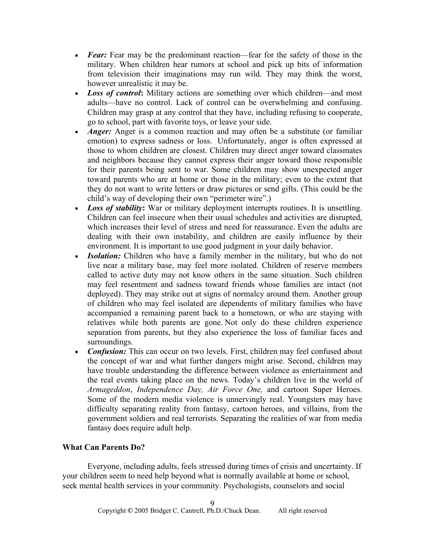- *Fear:* Fear may be the predominant reaction—fear for the safety of those in the military. When children hear rumors at school and pick up bits of information from television their imaginations may run wild. They may think the worst, however unrealistic it may be.
- *Loss of control*: Military actions are something over which children—and most adults—have no control. Lack of control can be overwhelming and confusing. Children may grasp at any control that they have, including refusing to cooperate, go to school, part with favorite toys, or leave your side.
- *Anger*: Anger is a common reaction and may often be a substitute (or familiar emotion) to express sadness or loss. Unfortunately, anger is often expressed at those to whom children are closest. Children may direct anger toward classmates and neighbors because they cannot express their anger toward those responsible for their parents being sent to war. Some children may show unexpected anger toward parents who are at home or those in the military; even to the extent that they do not want to write letters or draw pictures or send gifts. (This could be the child's way of developing their own "perimeter wire".)
- *Loss of stability*: War or military deployment interrupts routines. It is unsettling. Children can feel insecure when their usual schedules and activities are disrupted, which increases their level of stress and need for reassurance. Even the adults are dealing with their own instability, and children are easily influence by their environment. It is important to use good judgment in your daily behavior.
- *Isolation:* Children who have a family member in the military, but who do not live near a military base, may feel more isolated. Children of reserve members called to active duty may not know others in the same situation. Such children may feel resentment and sadness toward friends whose families are intact (not deployed). They may strike out at signs of normalcy around them. Another group of children who may feel isolated are dependents of military families who have accompanied a remaining parent back to a hometown, or who are staying with relatives while both parents are gone. Not only do these children experience separation from parents, but they also experience the loss of familiar faces and surroundings.
- *Confusion:* This can occur on two levels. First, children may feel confused about the concept of war and what further dangers might arise. Second, children may have trouble understanding the difference between violence as entertainment and the real events taking place on the news. Today's children live in the world of *Armageddon*, *Independence Day, Air Force One,* and cartoon Super Heroes. Some of the modern media violence is unnervingly real. Youngsters may have difficulty separating reality from fantasy, cartoon heroes, and villains, from the government soldiers and real terrorists. Separating the realities of war from media fantasy does require adult help.

## **What Can Parents Do?**

Everyone, including adults, feels stressed during times of crisis and uncertainty. If your children seem to need help beyond what is normally available at home or school, seek mental health services in your community. Psychologists, counselors and social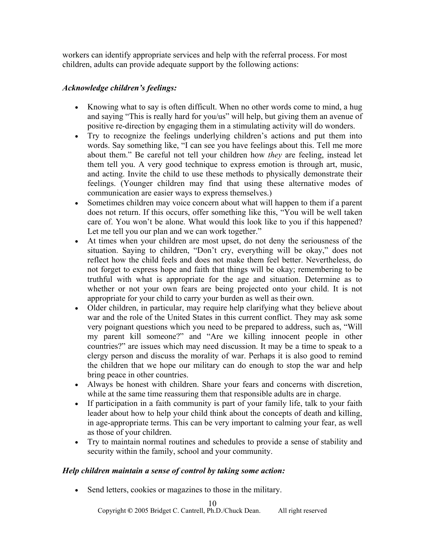workers can identify appropriate services and help with the referral process. For most children, adults can provide adequate support by the following actions:

## *Acknowledge children's feelings:*

- Knowing what to say is often difficult. When no other words come to mind, a hug and saying "This is really hard for you/us" will help, but giving them an avenue of positive re-direction by engaging them in a stimulating activity will do wonders.
- Try to recognize the feelings underlying children's actions and put them into words. Say something like, "I can see you have feelings about this. Tell me more about them." Be careful not tell your children how *they* are feeling, instead let them tell you. A very good technique to express emotion is through art, music, and acting. Invite the child to use these methods to physically demonstrate their feelings. (Younger children may find that using these alternative modes of communication are easier ways to express themselves.)
- Sometimes children may voice concern about what will happen to them if a parent does not return. If this occurs, offer something like this, "You will be well taken care of. You won't be alone. What would this look like to you if this happened? Let me tell you our plan and we can work together."
- At times when your children are most upset, do not deny the seriousness of the situation. Saying to children, "Don't cry, everything will be okay," does not reflect how the child feels and does not make them feel better. Nevertheless, do not forget to express hope and faith that things will be okay; remembering to be truthful with what is appropriate for the age and situation. Determine as to whether or not your own fears are being projected onto your child. It is not appropriate for your child to carry your burden as well as their own.
- Older children, in particular, may require help clarifying what they believe about war and the role of the United States in this current conflict. They may ask some very poignant questions which you need to be prepared to address, such as, "Will my parent kill someone?" and "Are we killing innocent people in other countries?" are issues which may need discussion. It may be a time to speak to a clergy person and discuss the morality of war. Perhaps it is also good to remind the children that we hope our military can do enough to stop the war and help bring peace in other countries.
- Always be honest with children. Share your fears and concerns with discretion, while at the same time reassuring them that responsible adults are in charge.
- If participation in a faith community is part of your family life, talk to your faith leader about how to help your child think about the concepts of death and killing, in age-appropriate terms. This can be very important to calming your fear, as well as those of your children.
- Try to maintain normal routines and schedules to provide a sense of stability and security within the family, school and your community.

## *Help children maintain a sense of control by taking some action:*

• Send letters, cookies or magazines to those in the military.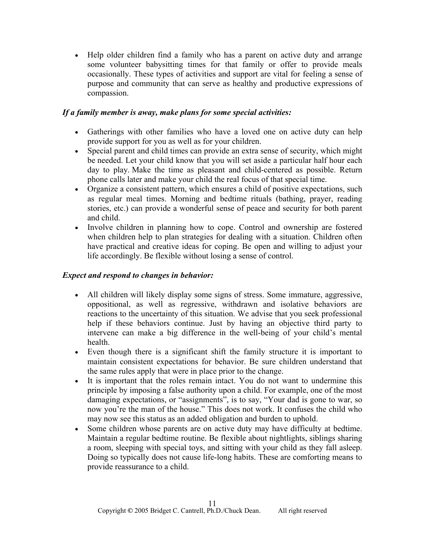• Help older children find a family who has a parent on active duty and arrange some volunteer babysitting times for that family or offer to provide meals occasionally. These types of activities and support are vital for feeling a sense of purpose and community that can serve as healthy and productive expressions of compassion.

## *If a family member is away, make plans for some special activities:*

- Gatherings with other families who have a loved one on active duty can help provide support for you as well as for your children.
- Special parent and child times can provide an extra sense of security, which might be needed. Let your child know that you will set aside a particular half hour each day to play. Make the time as pleasant and child-centered as possible. Return phone calls later and make your child the real focus of that special time.
- Organize a consistent pattern, which ensures a child of positive expectations, such as regular meal times. Morning and bedtime rituals (bathing, prayer, reading stories, etc.) can provide a wonderful sense of peace and security for both parent and child.
- Involve children in planning how to cope. Control and ownership are fostered when children help to plan strategies for dealing with a situation. Children often have practical and creative ideas for coping. Be open and willing to adjust your life accordingly. Be flexible without losing a sense of control.

## *Expect and respond to changes in behavior:*

- All children will likely display some signs of stress. Some immature, aggressive, oppositional, as well as regressive, withdrawn and isolative behaviors are reactions to the uncertainty of this situation. We advise that you seek professional help if these behaviors continue. Just by having an objective third party to intervene can make a big difference in the well-being of your child's mental health.
- Even though there is a significant shift the family structure it is important to maintain consistent expectations for behavior. Be sure children understand that the same rules apply that were in place prior to the change.
- It is important that the roles remain intact. You do not want to undermine this principle by imposing a false authority upon a child. For example, one of the most damaging expectations, or "assignments", is to say, "Your dad is gone to war, so now you're the man of the house." This does not work. It confuses the child who may now see this status as an added obligation and burden to uphold.
- Some children whose parents are on active duty may have difficulty at bedtime. Maintain a regular bedtime routine. Be flexible about nightlights, siblings sharing a room, sleeping with special toys, and sitting with your child as they fall asleep. Doing so typically does not cause life-long habits. These are comforting means to provide reassurance to a child.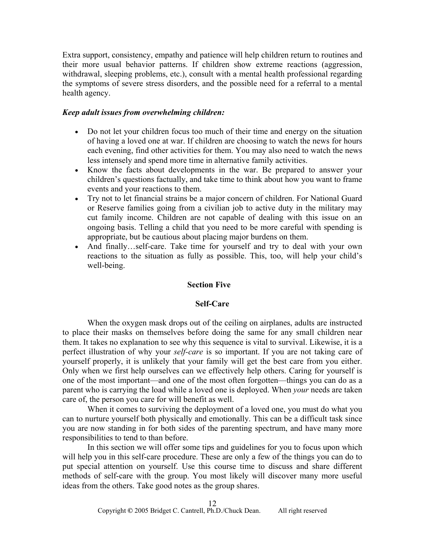Extra support, consistency, empathy and patience will help children return to routines and their more usual behavior patterns. If children show extreme reactions (aggression, withdrawal, sleeping problems, etc.), consult with a mental health professional regarding the symptoms of severe stress disorders, and the possible need for a referral to a mental health agency.

#### *Keep adult issues from overwhelming children:*

- Do not let your children focus too much of their time and energy on the situation of having a loved one at war. If children are choosing to watch the news for hours each evening, find other activities for them. You may also need to watch the news less intensely and spend more time in alternative family activities.
- Know the facts about developments in the war. Be prepared to answer your children's questions factually, and take time to think about how you want to frame events and your reactions to them.
- Try not to let financial strains be a major concern of children. For National Guard or Reserve families going from a civilian job to active duty in the military may cut family income. Children are not capable of dealing with this issue on an ongoing basis. Telling a child that you need to be more careful with spending is appropriate, but be cautious about placing major burdens on them.
- And finally...self-care. Take time for yourself and try to deal with your own reactions to the situation as fully as possible. This, too, will help your child's well-being.

#### **Section Five**

#### **Self-Care**

 When the oxygen mask drops out of the ceiling on airplanes, adults are instructed to place their masks on themselves before doing the same for any small children near them. It takes no explanation to see why this sequence is vital to survival. Likewise, it is a perfect illustration of why your *self-care* is so important. If you are not taking care of yourself properly, it is unlikely that your family will get the best care from you either. Only when we first help ourselves can we effectively help others. Caring for yourself is one of the most important—and one of the most often forgotten—things you can do as a parent who is carrying the load while a loved one is deployed. When *your* needs are taken care of, the person you care for will benefit as well.

 When it comes to surviving the deployment of a loved one, you must do what you can to nurture yourself both physically and emotionally. This can be a difficult task since you are now standing in for both sides of the parenting spectrum, and have many more responsibilities to tend to than before.

In this section we will offer some tips and guidelines for you to focus upon which will help you in this self-care procedure. These are only a few of the things you can do to put special attention on yourself. Use this course time to discuss and share different methods of self-care with the group. You most likely will discover many more useful ideas from the others. Take good notes as the group shares.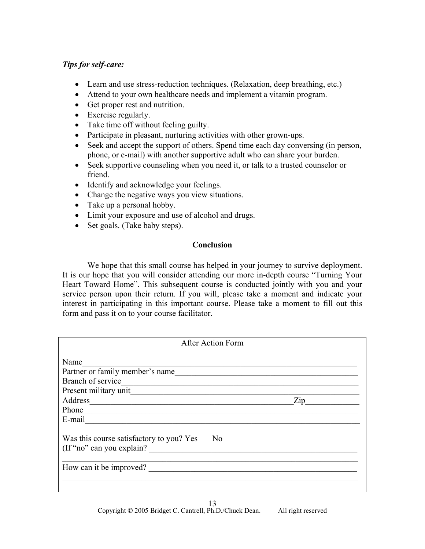## *Tips for self-care:*

- Learn and use stress-reduction techniques. (Relaxation, deep breathing, etc.)
- Attend to your own healthcare needs and implement a vitamin program.
- Get proper rest and nutrition.
- Exercise regularly.
- Take time off without feeling guilty.
- Participate in pleasant, nurturing activities with other grown-ups.
- Seek and accept the support of others. Spend time each day conversing (in person, phone, or e-mail) with another supportive adult who can share your burden.
- Seek supportive counseling when you need it, or talk to a trusted counselor or friend.
- Identify and acknowledge your feelings.
- Change the negative ways you view situations.
- Take up a personal hobby.
- Limit your exposure and use of alcohol and drugs.
- Set goals. (Take baby steps).

## **Conclusion**

We hope that this small course has helped in your journey to survive deployment. It is our hope that you will consider attending our more in-depth course "Turning Your Heart Toward Home". This subsequent course is conducted jointly with you and your service person upon their return. If you will, please take a moment and indicate your interest in participating in this important course. Please take a moment to fill out this form and pass it on to your course facilitator.

| After Action Form                                                           |                                  |
|-----------------------------------------------------------------------------|----------------------------------|
| Name                                                                        |                                  |
| Partner or family member's name                                             |                                  |
| Branch of service                                                           |                                  |
| Present military unit                                                       |                                  |
|                                                                             | $\mathop{\mathrm{Zip}}\nolimits$ |
| Phone                                                                       |                                  |
| E-mail                                                                      |                                  |
| Was this course satisfactory to you? Yes<br>No<br>(If "no" can you explain? |                                  |
| How can it be improved?                                                     |                                  |
|                                                                             |                                  |